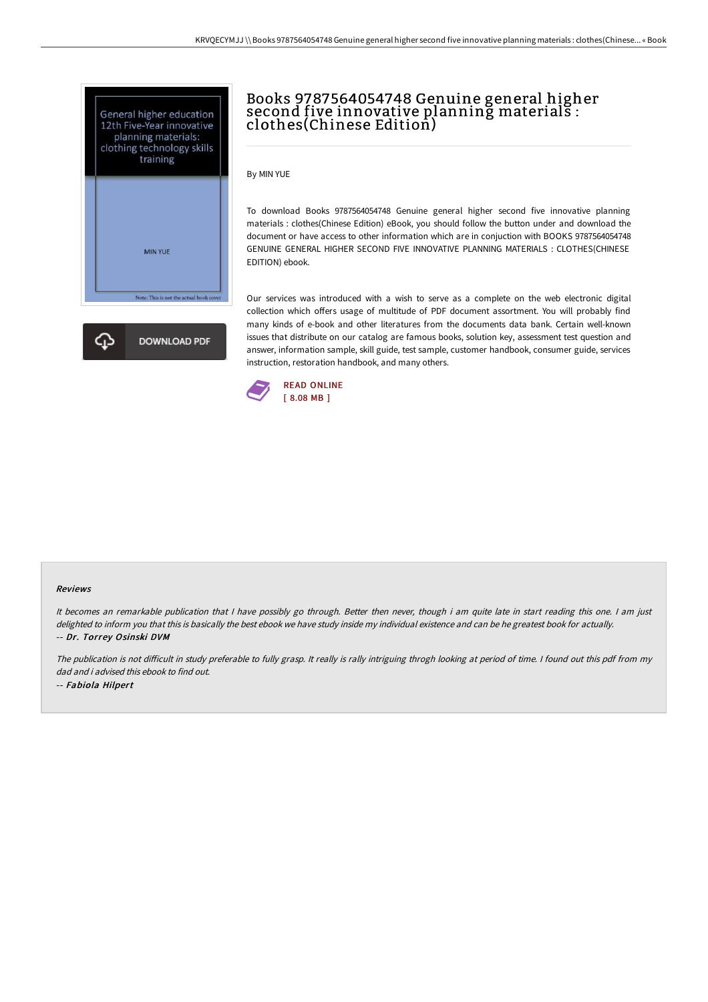



# Books 9787564054748 Genuine general higher second five innovative planning materials : clothes(Chinese Edition)

By MIN YUE

To download Books 9787564054748 Genuine general higher second five innovative planning materials : clothes(Chinese Edition) eBook, you should follow the button under and download the document or have access to other information which are in conjuction with BOOKS 9787564054748 GENUINE GENERAL HIGHER SECOND FIVE INNOVATIVE PLANNING MATERIALS : CLOTHES(CHINESE EDITION) ebook.

Our services was introduced with a wish to serve as a complete on the web electronic digital collection which offers usage of multitude of PDF document assortment. You will probably find many kinds of e-book and other literatures from the documents data bank. Certain well-known issues that distribute on our catalog are famous books, solution key, assessment test question and answer, information sample, skill guide, test sample, customer handbook, consumer guide, services instruction, restoration handbook, and many others.



#### Reviews

It becomes an remarkable publication that I have possibly go through. Better then never, though i am quite late in start reading this one. I am just delighted to inform you that this is basically the best ebook we have study inside my individual existence and can be he greatest book for actually. -- Dr. Torrey Osinski DVM

The publication is not difficult in study preferable to fully grasp. It really is rally intriguing throgh looking at period of time. I found out this pdf from my dad and i advised this ebook to find out. -- Fabiola Hilpert